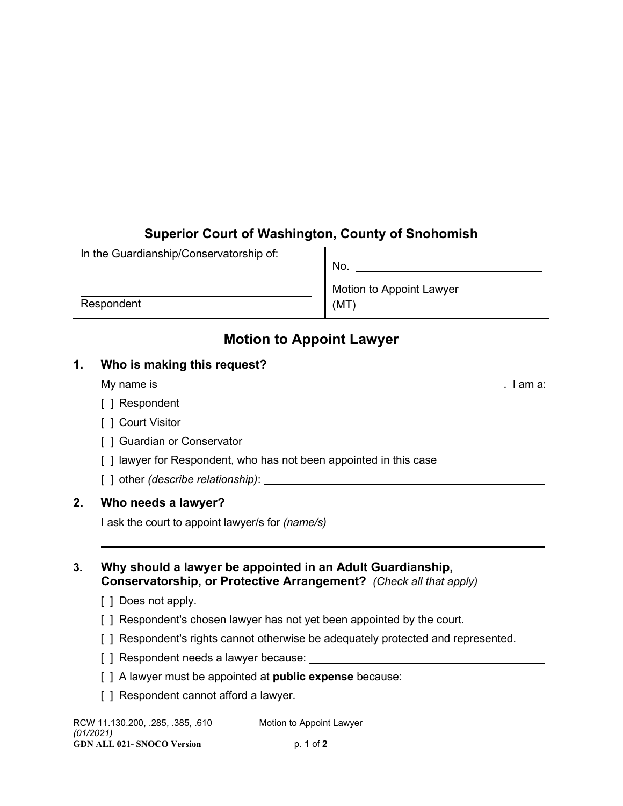## **Superior Court of Washington, County of Snohomish**

|            | No.                      |
|------------|--------------------------|
|            | Motion to Appoint Lawyer |
| Respondent | (MT                      |

# **Motion to Appoint Lawyer**

## **1. Who is making this request?**

In the Guardianship/Conservatorship of:

- My name is . I am a:
- [ ] Respondent
- [ ] Court Visitor
- [ ] Guardian or Conservator
- [ ] lawyer for Respondent, who has not been appointed in this case
- [ ] other *(describe relationship)*:

## **2. Who needs a lawyer?**

I ask the court to appoint lawyer/s for *(name/s)*

**3. Why should a lawyer be appointed in an Adult Guardianship, Conservatorship, or Protective Arrangement?** *(Check all that apply)*

- [ ] Does not apply.
- [ ] Respondent's chosen lawyer has not yet been appointed by the court.
- [ ] Respondent's rights cannot otherwise be adequately protected and represented.
- [ ] Respondent needs a lawyer because:
- [ ] A lawyer must be appointed at **public expense** because:
- [ ] Respondent cannot afford a lawyer.